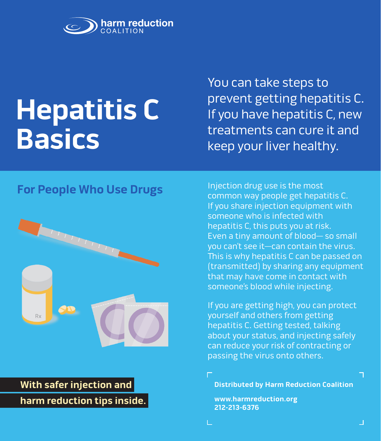

# **Hepatitis C Basics**

You can take steps to prevent getting hepatitis C. If you have hepatitis C, new treatments can cure it and keep your liver healthy.

# **For People Who Use Drugs**



# **With safer injection and harm reduction tips inside.**

Injection drug use is the most common way people get hepatitis C. If you share injection equipment with someone who is infected with hepatitis C, this puts you at risk. Even a tiny amount of blood— so small you can't see it—can contain the virus. This is why hepatitis C can be passed on (transmitted) by sharing any equipment that may have come in contact with someone's blood while injecting.

If you are getting high, you can protect yourself and others from getting hepatitis C. Getting tested, talking about your status, and injecting safely can reduce your risk of contracting or passing the virus onto others.

**Distributed by Harm Reduction Coalition** 

**www.harmreduction.org 212-213-6376**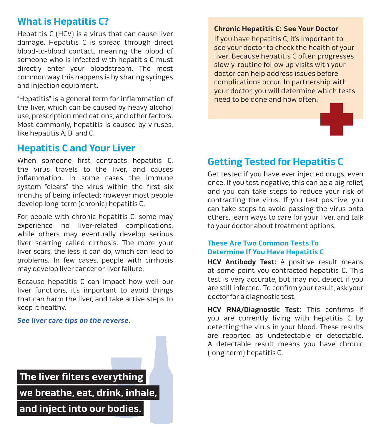# **What is Hepatitis C?**

Hepatitis C (HCV) is a virus that can cause liver damage. Hepatitis C is spread through direct blood-to-blood contact, meaning the blood of someone who is infected with hepatitis C must directly enter your bloodstream. The most common way this happens is by sharing syringes and injection equipment.

"Hepatitis" is a general term for inflammation of the liver, which can be caused by heavy alcohol use, prescription medications, and other factors. Most commonly, hepatitis is caused by viruses, like hepatitis A, B, and C.

#### **Hepatitis C and Your Liver**

When someone first contracts hepatitis C, the virus travels to the liver, and causes inflammation. In some cases the immune system "clears" the virus within the first six months of being infected; however most people develop long-term (chronic) hepatitis C.

For people with chronic hepatitis C, some may experience no liver-related complications, while others may eventually develop serious liver scarring called cirrhosis. The more your liver scars, the less it can do, which can lead to problems. In few cases, people with cirrhosis may develop liver cancer or liver failure.

Because hepatitis C can impact how well our liver functions, it's important to avoid things that can harm the liver, and take active steps to keep it healthy.

#### **See liver care tips on the reverse.**

 **The liver filters everything we breathe, eat, drink, inhale,** 

 **and inject into our bodies.** 

#### **Chronic Hepatitis C: See Your Doctor**

If you have hepatitis C, it's important to see your doctor to check the health of your liver. Because hepatitis C often progresses slowly, routine follow up visits with your doctor can help address issues before complications occur. In partnership with your doctor, you will determine which tests need to be done and how often.

#### **Getting Tested for Hepatitis C**

Get tested if you have ever injected drugs, even once. If you test negative, this can be a big relief, and you can take steps to reduce your risk of contracting the virus. If you test positive, you can take steps to avoid passing the virus onto others, learn ways to care for your liver, and talk to your doctor about treatment options.

#### **These Are Two Common Tests To Determine If You Have Hepatitis C**

**HCV Antibody Test:** A positive result means at some point you contracted hepatitis C. This test is very accurate, but may not detect if you are still infected. To confirm your result, ask your doctor for a diagnostic test.

**HCV RNA/Diagnostic Test:** This confirms if you are currently living with hepatitis C by detecting the virus in your blood. These results are reported as undetectable or detectable. A detectable result means you have chronic (long-term) hepatitis C.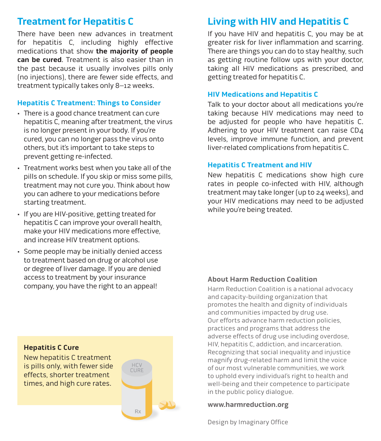### **Treatment for Hepatitis C**

There have been new advances in treatment for hepatitis C, including highly effective medications that show **the majority of people can be cured**. Treatment is also easier than in the past because it usually involves pills only (no injections), there are fewer side effects, and treatment typically takes only 8–12 weeks.

#### **Hepatitis C Treatment: Things to Consider**

- There is a good chance treatment can cure hepatitis C, meaning after treatment, the virus is no longer present in your body. If you're cured, you can no longer pass the virus onto others, but it's important to take steps to prevent getting re-infected.
- Treatment works best when you take all of the pills on schedule. If you skip or miss some pills, treatment may not cure you. Think about how you can adhere to your medications before starting treatment.
- If you are HIV-positive, getting treated for hepatitis C can improve your overall health, make your HIV medications more effective, and increase HIV treatment options.
- Some people may be initially denied access to treatment based on drug or alcohol use or degree of liver damage. If you are denied access to treatment by your insurance company, you have the right to an appeal!

# HCV<br>CURE Rx

# **Living with HIV and Hepatitis C**

If you have HIV and hepatitis C, you may be at greater risk for liver inflammation and scarring. There are things you can do to stay healthy, such as getting routine follow ups with your doctor, taking all HIV medications as prescribed, and getting treated for hepatitis C.

#### **HIV Medications and Hepatitis C**

Talk to your doctor about all medications you're taking because HIV medications may need to be adjusted for people who have hepatitis C. Adhering to your HIV treatment can raise CD4 levels, improve immune function, and prevent liver-related complications from hepatitis C.

#### **Hepatitis C Treatment and HIV**

New hepatitis C medications show high cure rates in people co-infected with HIV, although treatment may take longer (up to 24 weeks), and your HIV medications may need to be adjusted while you're being treated.

#### **About Harm Reduction Coalition**

Harm Reduction Coalition is a national advocacy and capacity-building organization that promotes the health and dignity of individuals and communities impacted by drug use. Our efforts advance harm reduction policies, practices and programs that address the adverse effects of drug use including overdose, HIV, hepatitis C, addiction, and incarceration. Recognizing that social inequality and injustice magnify drug-related harm and limit the voice of our most vulnerable communities, we work to uphold every individual's right to health and well-being and their competence to participate in the public policy dialogue.

#### **www.harmreduction.org**

Design by Imaginary Office

#### **Hepatitis C Cure**

New hepatitis C treatment is pills only, with fewer side effects, shorter treatment times, and high cure rates.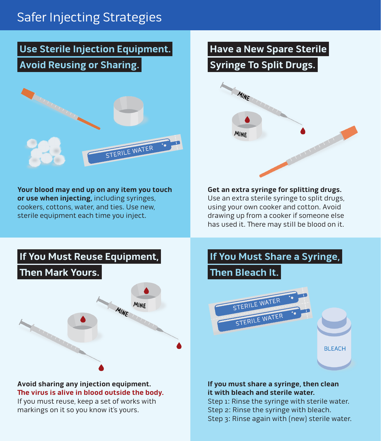# Safer Injecting Strategies

# **Use Sterile Injection Equipment. Avoid Reusing or Sharing.**



**Your blood may end up on any item you touch or use when injecting,** including syringes, cookers, cottons, water, and ties. Use new, sterile equipment each time you inject.

# **Have a New Spare Sterile**

# **Syringe To Split Drugs.**



**Get an extra syringe for splitting drugs.**  Use an extra sterile syringe to split drugs, using your own cooker and cotton. Avoid drawing up from a cooker if someone else has used it. There may still be blood on it.



#### **Avoid sharing any injection equipment. The virus is alive in blood outside the body.**

If you must reuse, keep a set of works with markings on it so you know it's yours.

# **If You Must Share a Syringe, Then Bleach It.**  STERILE WATER STERILE WATE **BLEACH**

#### **If you must share a syringe, then clean it with bleach and sterile water.**

Step 1: Rinse the syringe with sterile water. Step 2: Rinse the syringe with bleach. Step 3: Rinse again with (new) sterile water.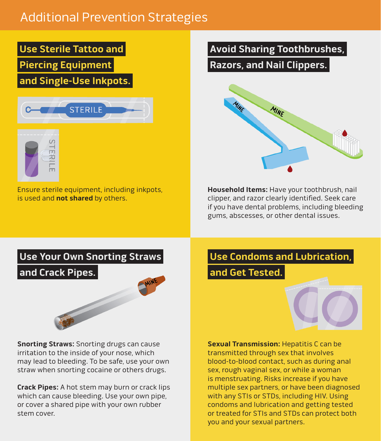# Additional Prevention Strategies

 **Use Sterile Tattoo and Piercing Equipment and Single-Use Inkpots.** 





Ensure sterile equipment, including inkpots, is used and **not shared** by others.

### **Avoid Sharing Toothbrushes,**

 **Razors, and Nail Clippers.** 



**Household Items:** Have your toothbrush, nail clipper, and razor clearly identified. Seek care if you have dental problems, including bleeding gums, abscesses, or other dental issues.



**Snorting Straws:** Snorting drugs can cause irritation to the inside of your nose, which may lead to bleeding. To be safe, use your own straw when snorting cocaine or others drugs.

**Crack Pipes:** A hot stem may burn or crack lips which can cause bleeding. Use your own pipe, or cover a shared pipe with your own rubber stem cover.

# **Use Condoms and Lubrication, and Get Tested.**



**Sexual Transmission:** Hepatitis C can be transmitted through sex that involves blood-to-blood contact, such as during anal sex, rough vaginal sex, or while a woman is menstruating. Risks increase if you have multiple sex partners, or have been diagnosed with any STIs or STDs, including HIV. Using condoms and lubrication and getting tested or treated for STIs and STDs can protect both you and your sexual partners.